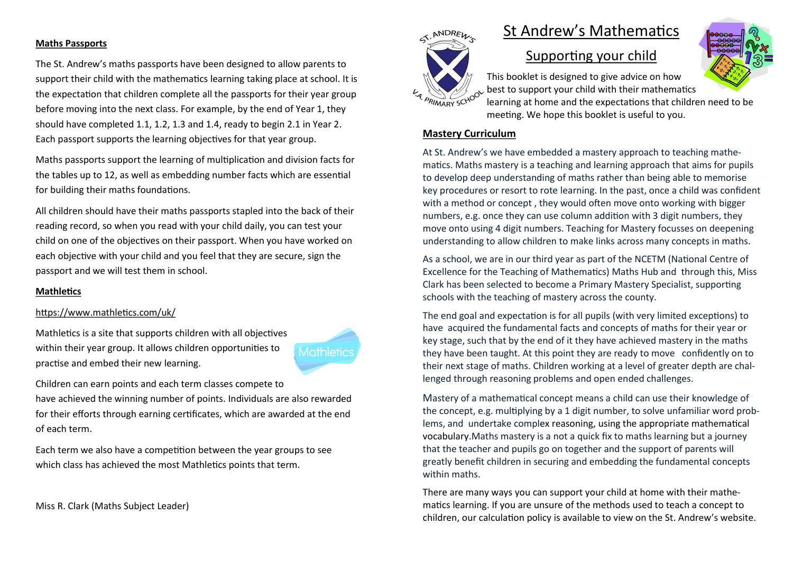### **Maths Passports**

The St. Andrew's maths passports have been designed to allow parents to support their child with the mathematics learning taking place at school. It is the expectation that children complete all the passports for their year group before moving into the next class. For example, by the end of Year 1, they should have completed 1.1, 1.2, 1.3 and 1.4, ready to begin 2.1 in Year 2. Each passport supports the learning objectives for that year group.

Maths passports support the learning of multiplication and division facts for the tables up to 12, as well as embedding number facts which are essential for building their maths foundations.

All children should have their maths passports stapled into the back of their reading record, so when you read with your child daily, you can test your child on one of the objectives on their passport. When you have worked on each objective with your child and you feel that they are secure, sign the passport and we will test them in school.

### **Mathletics**

### https://www.mathletics.com/uk/

Mathletics is a site that supports children with all objectives within their year group. It allows children opportunities to practise and embed their new learning.



Children can earn points and each term classes compete to

have achieved the winning number of points. Individuals are also rewarded for their efforts through earning certificates, which are awarded at the end of each term.

Each term we also have a competition between the year groups to see which class has achieved the most Mathletics points that term.

Miss R. Clark (Maths Subject Leader)

# St Andrew's Mathematics



X. ANDREW

## Supporting your child

This booklet is designed to give advice on how best to support your child with their mathematics learning at home and the expectations that children need to be meeting. We hope this booklet is useful to you.

### **Mastery Curriculum**

At St. Andrew's we have embedded a mastery approach to teaching mathematics. Maths mastery is a teaching and learning approach that aims for pupils to develop deep understanding of maths rather than being able to memorise key procedures or resort to rote learning. In the past, once a child was confident with a method or concept , they would often move onto working with bigger numbers, e.g. once they can use column addition with 3 digit numbers, they move onto using 4 digit numbers. Teaching for Mastery focusses on deepening understanding to allow children to make links across many concepts in maths.

As a school, we are in our third year as part of the NCETM (National Centre of Excellence for the Teaching of Mathematics) Maths Hub and through this, Miss Clark has been selected to become a Primary Mastery Specialist, supporting schools with the teaching of mastery across the county.

The end goal and expectation is for all pupils (with very limited exceptions) to have acquired the fundamental facts and concepts of maths for their year or key stage, such that by the end of it they have achieved mastery in the maths they have been taught. At this point they are ready to move confidently on to their next stage of maths. Children working at a level of greater depth are challenged through reasoning problems and open ended challenges.

Mastery of a mathematical concept means a child can use their knowledge of the concept, e.g. multiplying by a 1 digit number, to solve unfamiliar word problems, and undertake complex reasoning, using the appropriate [mathematical](https://thirdspacelearning.com/blog/maths-vocabulary-ks2-5-activities-fluency-develop-reasoning-skills/)  [vocabulary.M](https://thirdspacelearning.com/blog/maths-vocabulary-ks2-5-activities-fluency-develop-reasoning-skills/)aths mastery is a not a quick fix to maths learning but a journey that the teacher and pupils go on together and the support of parents will greatly benefit children in securing and embedding the fundamental concepts within maths.

There are many ways you can support your child at home with their mathematics learning. If you are unsure of the methods used to teach a concept to children, our calculation policy is available to view on the St. Andrew's website.